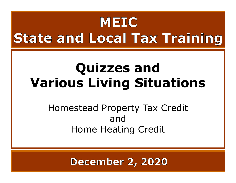### MEIC **State and Local Tax Training**

### Quizzes and Various Living Situations

Homestead Property Tax Credit and Home Heating Credit

**December 2, 2020** 

11 - 12 - 12 - 12 - 12 - 12 - 12 - 12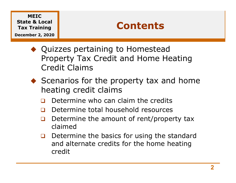December 2, 2020

#### Contents

- ◆ Quizzes pertaining to Homestead Property Tax Credit and Home Heating Credit Claims
- $\blacklozenge$  Scenarios for the property tax and home heating credit claims
	- Determine who can claim the credits
	- Determine total household resources
	- $\Box$  Determine the amount of rent/property tax claimed
	- $\Box$  Determine the basics for using the standard and alternate credits for the home heating credit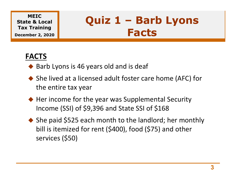December 2, 2020

## MEIC Quiz 1 – Barb Lyons<br>Facts Facts

#### FACTS

- ◆ Barb Lyons is 46 years old and is deaf
- ◆ She lived at a licensed adult foster care home (AFC) for the entire tax year
- ◆ Her income for the year was Supplemental Security Income (SSI) of \$9,396 and State SSI of \$168
- ◆ She paid \$525 each month to the landlord; her monthly bill is itemized for rent (\$400), food (\$75) and other services (\$50)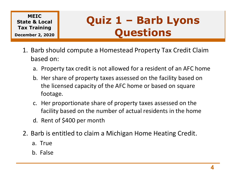## MEIC<br>:e & Local | Quiz 1 - Barb Lyons Quiz 1 – Barb Lyons<br>Questions Questions

- MEIC<br>
International **Quiz 1 Barb Lyons**<br>
I. Barb should compute a Homestead Property Tax Credit Claim<br>
based on:<br>
a. Property tax credit is not allowed for a resident of an AFC home based on:
	-
- **EIC**<br> **A. Local**<br> **Reference In the Case of STATE COMPOS**<br>
Barb should compute a Homestead Property Tax Credit Claim<br>
a. Property tax credit is not allowed for a resident of an AFC home<br>
b. Her share of property taxes ass **EIC**<br> **A Local**<br> **A** Local<br> **A** Local<br> **A** Homestead Property Tax Credit Claim<br> **A** A Property tax credit is not allowed for a resident of an AFC home<br> **D.** Her share of property taxes assessed on the facility based on<br>
t the licensed capacity of the AFC home or based on square footage. **Example 3 and Section S**<br>Figures 2, 2020<br>Barb should compute a Homestead Property Tax Credit Claim<br>a. Property tax credit is not allowed for a resident of an AFC home<br>b. Her share of property taxes assessed on the facilit Sarb should compute a Homestead Proper<br>
Sased on:<br>
a. Property tax credit is not allowed for a res<br>
b. Her share of property taxes assessed on the licensed capacity of the AFC home or k<br>
footage.<br>
c. Her proportionate shar a. Property tax credit is not allowed for a resident of an AFC home<br>b. Her share of property taxes assessed on the facility based on<br>the licensed capacity of the AFC home or based on square<br>footage.<br>c. Her proportionate sh a. Property tax credit is not anowed to<br>b. Her share of property taxes assessed<br>the licensed capacity of the AFC hom<br>footage.<br>c. Her proportionate share of property<br>facility based on the number of actu.<br>d. Rent of \$400 per b. Ther share of property taxes assessed<br>the licensed capacity of the AFC hom<br>footage.<br>c. Her proportionate share of property<br>facility based on the number of actu.<br>d. Rent of \$400 per month<br>Barb is entitled to claim a Mich
	- facility based on the number of actual residents in the home
	-
- -
	-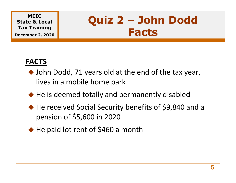December 2, 2020

## MEIC<br>re & Local | Quiz 2 - John Dodd Quiz 2 – John Dodd<br>Facts Facts

#### FACTS

- ◆ John Dodd, 71 years old at the end of the tax year, lives in a mobile home park
- ◆ He is deemed totally and permanently disabled
- ◆ He received Social Security benefits of \$9,840 and a pension of \$5,600 in 2020
- ◆ He paid lot rent of \$460 a month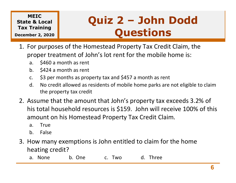December 2, 2020

# MEIC<br>:e & Local | Quiz 2 - John Dodd Quiz 2 – John Dodd Questions **Example 18 Per 2, 2020**<br> **Cultz 2 – John Dodd**<br> **Cuestions**<br>
Fraining<br>
ber 2, 2020<br>
for purposes of the Homestead Property Tax Credit Claim, the<br>
proper treatment of John's lot rent for the mobile home is:<br>
a. \$460 a mont **Example as Local**<br> **Ouiz 2 - John Dodd**<br> **Ouestions**<br>
For purposes of the Homestead Property Tax Credit Claim, the<br>
proper treatment of John's lot rent for the mobile home is:<br>
a. \$460 a month as rent<br>
b. \$424 a month as

- MEIC<br>
ITAX Training<br>
Ecember 2, 2020<br>
1. For purposes of the Homestead Property Tax Credit Claim, the<br>
proper treatment of John's lot rent for the mobile home is:<br>
a. \$460 a month as rent<br>
b. \$424 a month as rent proper treatment of John's lot rent for the mobile home is: MEIC<br> **Reference A Local Training<br>
Der 2, 2020**<br>
For purposes of the Homestead Propert<br>
Proper treatment of John's lot rent for t<br>
a. \$460 a month as rent<br>
b. \$424 a month as rent<br>
c. \$3 per months as property tax and \$457 MEIC<br>
Exercise & Local<br>
Training<br>
ber 2, 2020<br>
For purposes of the Homestead Propert<br>
proper treatment of John's lot rent for t<br>
a. \$460 a month as rent<br>
b. \$424 a month as rent<br>
c. \$3 per months as property tax and \$457 a
	-
	-
	-
	- the property tax credit
- **Example 12. Assume that the amount that John's property Tax Credit Claim, the**<br> **2.** For purposes of the Homestead Property Tax Credit Claim, the<br>
proper treatment of John's lot rent for the mobile home is:<br> **a.** \$460 a m his total household resources is \$159. John will receive 100% of this amount on his Homestead Property Tax Credit Claim. or the transfer of John's lot rent for the same of John's lot rent for the same state of a state of same state of same state of same state of same the property tax credit<br>All or credit allowed as residents of mobile he the a. \$460 a month as rent<br>
b. \$424 a month as rent<br>
c. \$3 per months as property tax and \$457 a<br>
d. No credit allowed as residents of mobile he<br>
the property tax credit<br>
Assume that the amount that John's provision to this H 3. How many exemptions is John entitled to claim one based in the home parks are not eligible to claim the property tax credit allowed as residents of mobile home parks are not eligible to claim the property tax credit all d. No credit allowed as residents of mobile home parks<br>the property tax credit<br>Assume that the amount that John's property ta:<br>inis total household resources is \$159. John will i<br>mount on his Homestead Property Tax Credit
	-
	-
- heating credit?
	-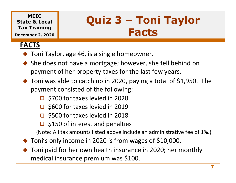#### MEIC Quiz 3 - Toni Taylor State & Local Tax Training

December 2, 2020

#### FACTS

- ◆ Toni Taylor, age 46, is a single homeowner.
- ◆ She does not have a mortgage; however, she fell behind on payment of her property taxes for the last few years.
- ◆ Toni was able to catch up in 2020, paying a total of \$1,950. The payment consisted of the following:

Quiz 3 – Toni Taylor<br>Facts

Facts

- □ \$700 for taxes levied in 2020
- □ \$600 for taxes levied in 2019
- □ \$500 for taxes levied in 2018
- $\Box$  \$150 of interest and penalties

(Note: All tax amounts listed above include an administrative fee of 1%.)

- ◆ Toni's only income in 2020 is from wages of \$10,000.
- ◆ Toni paid for her own health insurance in 2020; her monthly medical insurance premium was \$100.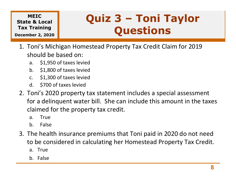December 2, 2020

## MEIC<br>e & Local **Quiz 3 - Toni Taylor** Quiz 3 – Toni Taylor<br>Questions Questions MEIC<br>
ITAX Training<br>
Ecember 2, 2020<br>
1. Toni's Michigan Homestead Property Tax Credit Claim for 2019<br>
should be based on:<br>
a. \$1,950 of taxes levied<br>
b. \$1,990 of taxes levied

- should be based on: MEIC<br> **a. & Local**<br>
Training<br>
ber 2, 2020<br>
Toni's Michigan Homestead Property Ta<br>
hould be based on:<br>
a. \$1,950 of taxes levied<br>
b. \$1,800 of taxes levied<br>
d. \$700 of taxes levied MEIC<br>
Exercise Reflection Cuiz 3 –<br>
Training<br>
ber 2, 2020<br>
Toni's Michigan Homestead Property Ta<br>
hould be based on:<br>
a. \$1,950 of taxes levied<br>
b. \$1,800 of taxes levied<br>
d. \$700 of taxes levied<br>
d. \$700 of taxes levied<br> MEIC<br>
Exercise Reflecting<br>
Training<br>
ber 2, 2020<br>
Toni's Michigan Homestead Property Ta<br>
hould be based on:<br>
a. \$1,950 of taxes levied<br>
c. \$1,300 of taxes levied<br>
d. \$700 of taxes levied<br>
oni's 2020 property tax statement
	-
	-
	-
	-
- MEIC<br>
Example and Cuiz 3 –<br>
Training<br>
Der 2, 2020<br>
Toni's Michigan Homestead Property Tathould be based on:<br>
a. \$1,950 of taxes levied<br>
b. \$1,800 of taxes levied<br>
d. \$700 of taxes levied<br>
d. \$700 of taxes levied<br>
Toni's 20 Solution and the state and the property of taxes levied<br>
2. Toni's Michigan Homestead Property Tax Credit Claim for 2019<br>
should be based on:<br>
a. \$1,950 of taxes levied<br>
b. \$1,800 of taxes levied<br>
c. \$1,300 of taxes levie for a delinquent water bill. She can include this amount in the taxes claimed for the property tax credit. True Toni's Michigan Homestead Property Ta<br>
Abould be based on:<br>
a. \$1,950 of taxes levied<br>
b. \$1,800 of taxes levied<br>
c. \$1,300 of taxes levied<br>
d. \$700 of taxes levied<br>
d. \$700 of taxes levied<br>
Toni's 2020 property tax s hould be based on:<br>
a. \$1,950 of taxes levied<br>
b. \$1,800 of taxes levied<br>
c. \$1,300 of taxes levied<br>
d. \$700 of taxes levied<br>
oni's 2020 property tax statement inclu<br>
or a delinquent water bill. She can incl<br>
claimed for t 3. \$1,950 of taxes levied<br>
5. \$1,800 of taxes levied<br>
5. \$1,300 of taxes levied<br>
4. \$700 of taxes levied<br>
2. Toni's 2020 property tax statement includes a special assessment<br>
for a delinquent water bill. She can include th c. \$1,300 of taxes levied<br>d. \$700 of taxes levied<br>"oni's 2020 property tax statement inc<br>or a delinquent water bill. She can inc<br>laimed for the property tax credit.<br>a. True<br>b. False<br>The health insurance premiums that To<br>o d. \$700 of taxes levied<br>
Toni's 2020 property tax statement incor a delinquent water bill. She can incordial<br>
claimed for the property tax credit.<br>
a. True<br>
b. False<br>
The health insurance premiums that To<br>
be considered in
	-
	-
- to be considered in calculating her Homestead Property Tax Credit.
	-
	-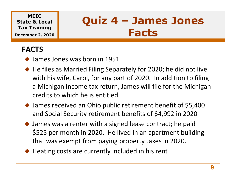December 2, 2020

## MEIC<br>:e & Local  $\parallel$  Quiz 4 - James Jones Quiz 4 – James Jones Facts

#### FACTS

- James Jones was born in 1951
- ◆ He files as Married Filing Separately for 2020; he did not live with his wife, Carol, for any part of 2020. In addition to filing a Michigan income tax return, James will file for the Michigan credits to which he is entitled.
- ◆ James received an Ohio public retirement benefit of \$5,400 and Social Security retirement benefits of \$4,992 in 2020
- James was a renter with a signed lease contract; he paid \$525 per month in 2020. He lived in an apartment building that was exempt from paying property taxes in 2020.
- $\blacklozenge$  Heating costs are currently included in his rent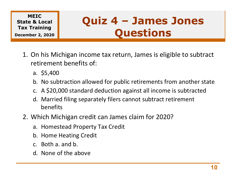State & Local Tax Training December 2, 2020

## MEIC<br>:e & Local  $\begin{array}{|c|c|c|c|c|c|c|c|}\n\hline\n\end{array}$  **Quiz 4 - James Jones** Quiz 4 – James Jones Questions MEIC<br>
In the & Local<br>
I. On his Michigan income tax return, James is eligible to subtract<br>
The Michigan income tax return, James is eligible to subtract<br>
The Michigan income tax return, James is eligible to subtract<br>
The M **EIC**<br> **A Local**<br> **Prepartition allowed for public retirements from another state**<br> **Dn his Michigan income tax return, James is eligible to subtract<br>
<b>C.** A \$20,000 standard deduction against all income is subtracted<br> **C.**

- retirement benefits of: EIC<br> **a. Local**<br> **a. 2.2020**<br>
Dn his Michigan income tax return, Ja<br>
etirement benefits of:<br>
a. \$5,400<br>
b. No subtraction allowed for public ret<br>
c. A \$20,000 standard deduction agains Excellent Cuit **Quiz 4 – James Jones**<br>
Se Local<br>
Dn his Michigan income tax return, James is eligible to subtract<br>
etirement benefits of:<br>
a. \$5,400<br>
b. No subtraction allowed for public retirements from another state<br>
c. For 2, 2020<br>
D. his Michigan income tax return, James is eligible to subtract<br>
etirement benefits of:<br>
a. \$5,400<br>
b. No subtraction allowed for public retirements from another state<br>
c. A \$20,000 standard deduction against 1. On his Michigan income tax return, James is eligible to subtract<br>retirement benefits of:<br>a. \$5,400<br>b. No subtraction allowed for public retirements from another state<br>c. A \$20,000 standard deduction against all income i
	-
	-
	-
	- benefits Dn his Michigan income tax return, James i<br>etirement benefits of:<br>a. \$5,400<br>b. No subtraction allowed for public retireme<br>c. A \$20,000 standard deduction against all in<br>d. Married filing separately filers cannot subtr<br>bene retirement benefits of:<br>
	a. \$5,400<br>
	b. No subtraction allowed for public ret<br>
	c. A \$20,000 standard deduction agains<br>
	d. Married filing separately filers canno<br>
	benefits<br>
	Which Michigan credit can James clai<br>
	a. Homestead a. \$5,400<br>b. No subtraction allowed for public ret<br>c. A \$20,000 standard deduction agains<br>d. Married filing separately filers canno<br>benefits<br>Which Michigan credit can James clai<br>a. Homestead Property Tax Credit<br>b. Home Hea b. No subtraction allowed for public ret<br>
	c. A \$20,000 standard deduction agains<br>
	d. Married filing separately filers canno<br>
	benefits<br>
	Which Michigan credit can James clai<br>
	a. Homestead Property Tax Credit<br>
	b. Home Heating
- -
	-
	-
	-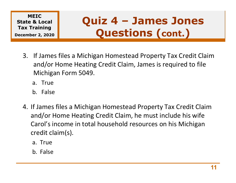State & Local Tax Training December 2, 2020

## MEIC<br>:e & Local  $\parallel$  Quiz 4 - James Jones Quiz 4 – James Jones<br>Questions (cont.) Questions (cont.)

- MEIC<br>
Ate & Local<br>
In Training<br>
Ember 2, 2020<br>
3. If James files a Michigan Homestead Property Tax Credit Claim<br>
and/or Home Heating Credit Claim, James is required to file<br>
Michigan Form 5049. and/or Home Heating Credit Claim, James is required to file Michigan Form 5049. EIC & Local<br>
Faining<br>
er 2, 2020<br>
If James files a Michigan Homestead<br>
and/or Home Heating Credit Claim, J<br>
Michigan Form 5049.<br>
a. True<br>
b. False **A Local Pulliz 4 – J.<br>
Fraining (PULLIZ 4 – J. A Local Pullis of A Local Pullis Cultis Channel State Chain Credit Claim, J<br>
If James files a Michigan Homestead A Local Pullis Chains Credit Claim b<br>
Flames files a Michiga** 
	-
	-
- ember 2, 2020<br>
3. If James files a Michigan Homestead Property Tax Credit Claim<br>
and/or Home Heating Credit Claim, James is required to file<br>
Michigan Form 5049.<br>
a. True<br>
b. False<br>
4. If James files a Michigan Homestead P and/or Home Heating Credit Claim, he must include his wife Carol's income in total household resources on his Michigan credit claim(s). Michigan Form 5049.<br>
a. True<br>
b. False<br>
f James files a Michigan Homestead<br>
and/or Home Heating Credit Claim, h<br>Carol's income in total household res<br>
credit claim(s).<br>
a. True<br>
b. False a. True<br>
b. False<br>
f James files a Michigan Homestead<br>
and/or Home Heating Credit Claim, h<br>
Carol's income in total household res<br>
credit claim(s).<br>
a. True<br>
b. False
	-
	-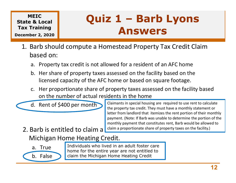#### December 2, 2020

### MEIC<br>e & Local **Quiz 1 - Barb Lyons** Quiz 1 – Barb Lyons<br>Answers Answers MEIC<br>
In the & Local<br>
Duiz 1 – Barb Lyons<br>
1. Barb should compute a Homestead Property Tax Credit Claim<br>
based on:<br>
a. Property tax credit is not allowed for a resident of an AFC home **Quiz 1 – Barb Lyons<br>
Sarb should compute a Homestead Property Tax Credit Claim**<br>
Parb should compute a Homestead Property Tax Credit Claim<br>
Dased on:<br>
a. Property tax credit is not allowed for a resident of an AFC home<br>
b **Quiz 1 – Barb Lyons<br>
Fraining (Puiz 1 – Barb Lyons**<br>
Barb should compute a Homestead Property Tax Credit Claim<br>
Dased on:<br>
a. Property tax credit is not allowed for a resident of an AFC home<br>
b. Her share of property taxe

- based on: EXECTED CONTROLL THE CONTROLL THE CONTROLL TRIMBETS DATE OF PROPERTY THE PROPORT OF A PROPERTY CHARGED ON THE SPACE OF PROPERTY THAN AND SOMETHER OF PROPERTY taxes assessed on the facility based on the licensed capacity o **Example 18 AMPLE 18 AMPLE 18 AMPLE 18 AMPLE 18 AMPLE 18 AMPLE 18 AMPLE 18 AMPLE 18 AMPLE 18 AMPLE 18 AMPLE 18 AMPLE 18 AMPLE 18 AMPLE 18 AMPLE 18 AMPLE 18 AMPLE 18 AMPLE 18 AMPLE 18 AMPLE 18 AMPLE 18 AMPLE 18 AMPLE 18 AMP** 
	-
- licensed capacity of the AFC home or based on square footage. b. Her share of property taxes assessed on the<br>licensed capacity of the AFC home or based of<br>c. Her proportionate share of property taxes as<br>a on the number of actual residents in the hon<br>d. Rent of \$400 per month<br>d. Rent
	- on the number of actual residents in the home Fraction 1. True<br>
	a. True<br>
	a. True<br>
	a. True<br>
	a. True<br>
	a. True<br>
	a. True<br>
	a. True<br>
	a. True<br>
	a. True<br>
	a. True<br>
	a. True<br>
	a. True<br>
	a. True<br>
	a. True<br>
	a. True<br>
	a. True<br>
	a. True<br>
	a. True<br>
	a. True<br>
	a. True<br>
	a. True<br>
	a. True<br>
	a. Tru Example of the number of actual residents in the<br>
	d. Rent of \$400 per month<br>
	Barb is entitled to claim a diameter transformation<br>
	Aichigan Home Heating Credit.<br>
	a. True Individuals who lived in an adult from for the entire
	-

Claimants in special housing are required to use rent to calculate the property tax credit. They must have a monthly statement or letter from landlord that itemizes the rent portion of their monthly payment. (Note: If Barb was unable to determine the portion of the monthly payment that constitutes rent, Barb would be allowed to claim a proportionate share of property taxes on the facility.)

- Michigan Home Heating Credit.
	-

Individuals who lived in an adult foster care home for the entire year are not entitled to claim the Michigan Home Heating Credit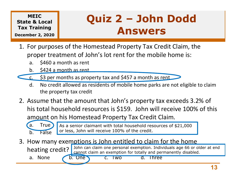December 2, 2020

# MEIC<br>re & Local **Quiz 2 - John Dodd** Quiz 2 – John Dodd<br>Answers Answers **Quiz 2 – John Dodd**<br> **COULTER COULT ASSES**<br>
Training<br> **Answers**<br>
For purposes of the Homestead Property Tax Credit Claim, the<br>
proper treatment of John's lot rent for the mobile home is:<br>
a. \$460 a month as rent<br>
b. \$424 **Quiz 2 - John Dodd**<br>
Training<br> **Parks are as a response of the Homestead Property Tax Credit Claim, the**<br>
proper treatment of John's lot rent for the mobile home is:<br>
a. \$460 a month as rent<br>
b. \$424 a month as rent<br>
<u>c.</u>

- MEIC<br>
ITER IS Local<br>
I. For purposes of the Homestead Property Tax Credit Claim, the<br>
proper treatment of John's lot rent for the mobile home is:<br>
a. \$460 a month as rent<br>
b. \$424 a month as rent proper treatment of John's lot rent for the mobile home is: MEIC<br>
Exercise & Local<br>
Training<br>
ber 2, 2020<br>
For purposes of the Homestead Propert<br>
Proper treatment of John's lot rent for t<br>
a. \$460 a month as rent<br>
b. \$424 a month as rent<br>
c. \$3 per months as property tax and \$457 a MEIC<br>
Exercise the **Quiz 2 –**<br>
Training<br>
ber 2, 2020<br>
For purposes of the Homestead Propert<br>
proper treatment of John's lot rent for t<br>
a. \$460 a month as rent<br>
b. \$424 a month as rent<br>
c. \$3 per months as property tax and
	-
	-
- - the property tax credit
- **Answers**<br>
1. For purposes of the Homestead Property Tax Credit Claim, the<br>
proper treatment of John's lot rent for the mobile home is:<br>
a. \$460 a month as rent<br>
b. \$424 a month as rent<br>
c. \$3 per months as property tax an his total household resources is \$159. John will receive 100% of this amount on his Homestead Property Tax Credit Claim. b. 5424 a month as rent<br>
b. 5424 a month as rent<br>
c. 53 per months as property tax and 5457 a<br>
d. No credit allowed as residents of mobile he<br>
the property tax credit<br>
Assume that the amount that John's provision to that t a. \$460 a month as rent<br>
b. \$424 a month as rent<br>
c. \$3 per months as property tax and \$457 a<br>
d. No credit allowed as residents of mobile he<br>
the property tax credit<br>
Assume that the amount that John's provision to the mo 3. How many exemptions is John entitled to claim for the home<br>
1. No credit allowed as residents of mobile home parks are not eligible to claim<br>
2. Assume that the amount that John's property tax exceeds 3.2% of<br>
his tota d. No credit allowed as residents of mobile home parks are not eligible to clumb the property tax credit Assume that the amount that John's property tax exceeds 3.2% consists total household resources is \$159. John will re



As a senior claimant with total household resources of \$21,000 or less, John will receive 100% of the credit.

heating credit? John can claim one personal exemption. Individuals age 66 or older at end cannot claim an exemption for totally and permanently disabled.

13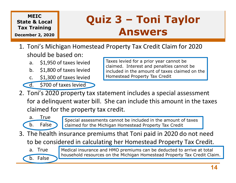#### December 2, 2020

## MEIC<br>**e & Local** Quiz 3 - Toni Taylor Quiz 3 – Toni Taylor<br>Answers Answers

- MEIC<br>
Tax Training<br>
Ecember 2, 2020<br>
1. Toni's Michigan Homestead Property Tax Credit Claim for 2020<br>
should be based on:<br>
a. \$1,950 of taxes levied<br>
b. \$1,990 of taxes levied<br>
b. \$1,990 of taxes levied<br>
a. \$1,990 of taxes should be based on: MEIC<br> **Exercise Second Training**<br> **ANS**<br>
Toni's Michigan Homestead Property Ta<br>
Toni's Michigan Homestead Property Ta<br>
ANS<br>
Toni's Michigan Homestead Property Ta<br>
ANS<br>
ANS<br>
C. \$1,300 of taxes levied<br>
C. \$1,300 of taxes lev MEIC<br>
Exercise Reflection Cuiz 3 –<br>
Training<br>
Der 2, 2020<br>
Toni's Michigan Homestead Property Ta<br>
hould be based on:<br>
a. \$1,950 of taxes levied<br>
b. \$1,800 of taxes levied<br>
d. \$700 of taxes levied<br>
Taxes levied<br>
d. \$700 of MEIC<br>
Exercise Reflecting<br>
Training<br>
ber 2, 2020<br>
Coni's Michigan Homestead Property Ta<br>
c. 51,950 of taxes levied<br>
b. 51,300 of taxes levied<br>
d. 5700 of taxes levied<br>
Taxes levied<br>
d. 5700 of taxes levied<br>
Coni's 2020 pro
	-
	-
	-
	-

Taxes levied for a prior year cannot be claimed. Interest and penalties cannot be included in the amount of taxes claimed on the Homestead Property Tax Credit

MEIC<br>
Example to 2, 2020<br>
Training<br>
ber 2, 2020<br>
Toni's Michigan Homestead Property Tachould be based on:<br>
a. \$1,950 of taxes levied<br>
b. \$1,800 of taxes levied<br>
c. \$1,300 of taxes levied<br>
d. \$700 of taxes levied<br>
Toni's 20 CORRECT TO THE RETAINT THE SCHOOL Should be based on:<br>
a. \$1,950 of taxes levied<br>
b. \$1,800 of taxes levied<br>
c. \$1,300 of taxes levied<br>
c. \$1,300 of taxes levied<br>
c. \$1,300 of taxes levied<br>
c. \$1,300 of taxes levied<br>
c. \$ for a delinquent water bill. She can include this amount in the taxes claimed for the property tax credit. Frace Taxes levied<br>
a. \$1,950 of taxes levied<br>
b. \$1,800 of taxes levied<br>
c. \$1,300 of taxes levied<br>
d. \$700 of taxes levied<br>
a. \$700 of taxes levied<br>
a. \$700 of taxes levied<br>
a. \$700 of taxes levied<br>
a. \$700 of taxes levi Faxes levied<br>
b. \$1,950 of taxes levied<br>
b. \$1,800 of taxes levied<br>
c. \$1,300 of taxes levied<br>
d. \$700 of taxes levied<br>
oni's 2020 property tax statement included in the<br>
oni's 2020 property tax statement included<br>
oni's 2 3. S1,950 of taxes levied<br>
1. S1,800 of taxes levied<br>
1. S1,300 of taxes levied<br>
1. S700 of taxes levied<br>
1. S700 of taxes levied<br>
1. S700 of taxes levied<br>
2. Toni's 2020 property tax statement includes a special assessme c. \$1,300 of taxes levied<br>
d. \$700 of taxes levied<br>
Toni's 2020 property tax statement inc<br>
or a delinquent water bill. She can inc<br>
claimed for the property tax credit.<br>
a. True<br>
b. False<br>
The health insurance premiums th d. \$700 of taxes levied<br>
Toni's 2020 property tax statement incor a delinquent water bill. She can incording the property tax credit.<br>
a. True b. False statements cannot be included for the Michigan Homester<br>
The health in



Special assessments cannot be included in the amount of taxes claimed for the Michigan Homestead Property Tax Credit

to be considered in calculating her Homestead Property Tax Credit.



Medical insurance and HMO premiums can be deducted to arrive at total household resources on the Michigan Homestead Property Tax Credit Claim.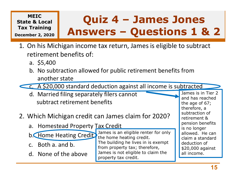### State & Local

### MEIC  $\alpha$  Local  $\int$  Quiz 4 - James Jones Tax Training **The Contract of the Contract of The Contract of The Contract of The Contract of The Co** December 2, 2020 **THE BUY CID** Quiz 4 – James Jones<br>swers – Questions 1 & 2 **Quiz 4 - James Jones<br>Answers - Questions 1 & 2**<br>an income tax return, James is eligible to subtract MEIC<br>
Itak Isocal<br>
I. On his Michigan income tax return, James is eligible to subtract<br>
The Michigan income tax return, James is eligible to subtract<br>
retirement benefits of:<br>
a. \$5,400<br>
a. \$1,400 MEIC<br> **ANSWETS – C**<br>
Training<br> **ANSWETS – C**<br>
Dn his Michigan income tax return, Ja<br>
etirement benefits of:<br>
a. \$5,400<br>
b. No subtraction allowed for public ret<br>
another state **PROMANGE SET AND SURVETS - QUESTIONS 1 & 2**<br>
Training<br>
Dn his Michigan income tax return, James is eligible to subtract<br>
etirement benefits of:<br>
a. \$5,400<br>
b. No subtraction allowed for public retirement benefits from<br>
a **Quiz 4 – James Jones**<br>
Training<br>
Der 2, 2020<br>
On his Michigan income tax return, James is eligible to subtract<br>
etirement benefits of:<br>
a. \$5,400<br>
b. No subtraction allowed for public retirement benefits from<br>
another sta

- retirement benefits of: Example the 2, 2020<br>
D. Mis Michigan income tax return, James is e<br>
etirement benefits of:<br>
a. \$5,400<br>
b. No subtraction allowed for public retirement l<br>
another state<br>
<u>c. A \$20,000 standard deduction against all incom</u><br> 1. On his Michigan income tax return, James is eligible to subtract<br>
retirement benefits of:<br>
a. \$5,400<br>
b. No subtraction allowed for public retirement benefits from<br>
another state<br>  $\begin{array}{r} \begin{array}{r} \begin{array}{r} \begin{array}{r} \begin{array}{r} \begin$ 
	-
	- another state From the series of:<br>
	a. \$5,400<br>
	b. No subtraction allowed for public retirement<br>
	another state<br>
	c. A \$20,000 standard deduction against all in<br>
	d. Married filing separately filers cannot<br>
	subtract retirement benefits<br>
	Whic a. \$5,400<br>
	b. No subtraction allowed for public ret<br>
	another state<br>
	c. A \$20,000 standard deduction agains<br>
	d. Married filing separately filers canno<br>
	subtract retirement benefits<br>
	Which Michigan credit can James clai<br>
	a.



- subtract retirement benefits B. No subtraction anowed for public ret<br>another state<br>C. A \$20,000 standard deduction agains<br>d. Married filing separately filers canno<br>subtract retirement benefits<br>Which Michigan credit can James clai<br>a. Homestead Property **C.** A \$20,000 standard deduction agains<br>
d. Married filing separately filers cannom<br>
subtract retirement benefits<br>
Which Michigan credit can James clai<br>
a. Homestead Property Tax Credit<br>
b. Home Heating Credit<br>
b. Home H
- -

- 
- 

James is an eligible renter for only the home heating credit. The building he lives in is exempt from property tax; therefore, James is not eligible to claim the property tax credit.

James is in Tier 2 and has reached the age of 67; therefore, a subtraction of retirement & pension benefits is no longer allowed. He can claim a standard deduction of \$20,000 against all income.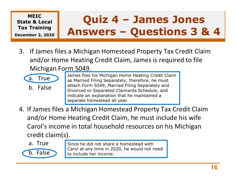

### MEIC  $\alpha$  Local  $\int$  Quiz 4 - James Jones Tax Training **The Contract of the Contract of The Contract of The Contract of The Contract of The Co** December 2, 2020 **THE BUY CID** Quiz 4 – James Jones<br>swers – Questions 3 & 4 Quiz 4 - James Jones<br>Answers - Questions 3 & 4

MEIC<br>
IF A Training<br>
IS Answers - Questions 3 & 4<br>
3. If James files a Michigan Homestead Property Tax Credit Claim<br>
and/or Home Heating Credit Claim, James is required to file<br>
Michigan Form 5049. and/or Home Heating Credit Claim, James is required to file Michigan Form 5049. MEIC<br> **Register 2, 2020**<br>
Training<br>
Training<br>
If James files a Michigan Homestead<br>
and/or Home Heating Credit Claim, J<br>
Michigan Form 5049.<br> **a.** True<br> **b.** False<br> **b.** False<br> **b.** False<br> **b.** False<br> **b.** False<br> **dide an e** MEIC<br>
Training<br>
ber 2, 2020<br>
If James files a Michigan Homestead<br>
and/or Home Heating Credit Claim, J<br>
Michigan Form 5049.<br>
a. True<br>
b. False<br>
b. False<br>
b. False<br>
False<br>
False<br>
France Files his Michigan Home Has Married Fi



- James files his Michigan Home Heating Credit Claim as Married Filing Separately; therefore, he must attach Form 5049, Married Filing Separately and Divorced or Separated Claimants Schedule, and indicate an explanation that he maintained a separate homestead all year.
- 3. If James files a Michigan Homestead Property Tax Credit Claim<br>and/or Home Heating Credit Claim, James is required to file<br>Michigan Form 5049.<br>a. True as Married Filing Separately; therefore, he must<br>b. False<br>b. False<br>se and/or Home Heating Credit Claim, he must include his wife Carol's income in total household resources on his Michigan credit claim(s). **a.** True<br> **b.** False<br> **b.** False<br> **b.** False<br> **b.** False<br> **b.** False<br> **b.** False<br> **b.** False<br> **b.** False<br> **b.** False<br> **b.** False<br> **containstript in the separate homestead all year.**<br> **f James files a Michigan Homestead al** a. The as Married Filing Separately; the attach Form 5049, Married Filing Separately; the bivorced or Separated Claimant indicate an explanation that he separate homestead all year.<br> **f** James files a Michigan Homestead an
	-

Since he did not share a homestead with Carol at any time in 2020, he would not need to include her income.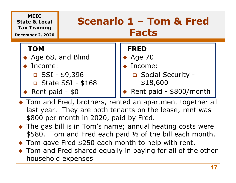

- ◆ Tom and Fred, brothers, rented an apartment together all last year. They are both tenants on the lease; rent was \$800 per month in 2020, paid by Fred.
- ◆ The gas bill is in Tom's name; annual heating costs were \$580. Tom and Fred each paid ½ of the bill each month.
- ◆ Tom gave Fred \$250 each month to help with rent.
- ◆ Tom and Fred shared equally in paying for all of the other household expenses.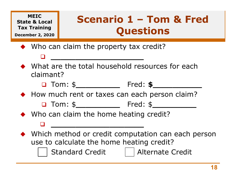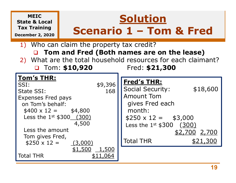#### MEIC State & Local Tax Training Scenario 1 - Tom & Fred December 2, 2020 1) Who can claim the property tax credit? □ Tom and Fred (Both names are on the lease) 2) What are the total household resources for each claimant? □ Tom: \$10,920 Fred: \$21,300 **Solution Solution**<br>**Scenario 1 – Tom & Fred**<br>**m** the property tax credit? Tom's THR: MEIC<br>
Tax Training<br>
Tax Training<br>
Scenario 1 – Tom & F<br>
1) Who can claim the property tax credit?<br>
1) Who can claim the property tax credit?<br>
2) What are the total household resources for each cla<br>
2) What are the total ho MEIC<br>
Tax Training<br>
Tax Training<br>
Tax Training<br>
1) Who can claim the property tax credit?<br>
1) Who can claim the property tax credit?<br>
2) What are the total household resources for each claim<br>
168 Tred: \$21,300<br>
Tom's THR:<br> Expenses Fred pays on Tom's behalf:  $$400 \times 12 = $4,800$ Less the amount<br>
Notation and Fred (Both names are on the 21,300<br>
Dum's THR:<br>
51:<br>
\$9,396<br>
500 Fred: \$21,300<br>
500 Fred: \$21,300<br>
500 Fred: \$21,300<br>
500 Fred: \$21,300<br>
500 Fred: \$21,300<br>
500 Fred: \$21,300<br>
500 Fred: \$21, 4,500 <br>
Less the 1<sup>st</sup> \$300 (300) Less the amount Tom gives Fred,  $$250 \times 12 =$  (3,000) Total THR \$9,396<br>
\$9,396<br>
168<br>
Social Security:<br>
Amount Tom<br>
gives Fred each<br>
month:<br>
\$2,500<br>
4,500<br>
<u>\$1,500<br>
\$11,064</u><br>
Total THR<br>
\$2,700<br>
\$11,064<br>
Total THR<br>
\$2,700<br>
\$11,064 **IOM'S IHK:**<br>
SSI:<br>
State SSI:<br>
Expenses Fred pays<br>
on Tom's behalf:<br>  $$400 x 12 = $4,800$ <br>
Less the 1<sup>st</sup> \$300<u>(300)</u><br>
Less the amount<br>
Tom gives Fred,<br>  $$250 x 12 = $3,000$ <br>
Less the amount<br>
Tom gives Fred,<br>  $$250 x 12 = $3,000$ Fred's THR: Social Security: \$18,600 Amount Tom gives Fred each month: ax credit?<br> **imes are on the lease)**<br>
resources for each claimant?<br>
Fred: \$21,300<br>
Fred's THR:<br>
Social Security: \$18,600<br>
Amount Tom<br>
gives Fred each<br>
month:<br>\$250 x 12 = \$3,000<br>
Less the 1<sup>st</sup> \$300 (300)<br>
<u>\$2,700 2,700</u> ach claimant?<br>
<br>
\$18,600<br>
\$2,700<br>
<u>\$2,700</u><br>
\$21,300<br>
\$21,300 Fred: \$21,300<br>
Fred's THR:<br>
Social Security: \$18,600<br>
Amount Tom<br>
gives Fred each<br>
month:<br>
\$250 x 12 = \$3,000<br>
Less the 1<sup>st</sup> \$300 (300)<br>
<u>\$2,700</u> 2,700<br>
Total THR \$21,300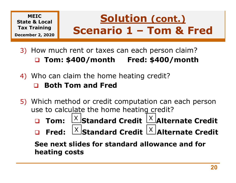#### MEIC State & Local December 2, 2020

### Tax Training Scenario 1 - Tom & Fred IC & Local<br>
aining<br>
Tom: **Scenario 1 – Tom & Fred**<br>
Now much rent or taxes can each person claim?<br> **Q Tom: \$400/month Fred: \$400/month**<br>
Who can claim the home heating credit? Solution (cont.) **Solution (cont.)**<br>Scenario 1 – Tom & Fred

- 3) How much rent or taxes can each person claim?
- 4) Who can claim the home heating credit?

#### Both Tom and Fred

- 5) Which method or credit computation can each person use to calculate the home heating credit?
	- $\Box$  **Tom:**  $\left[\frac{\times}{\mathcal{S}}\right]$ Standard Credit  $\left[\frac{\times}{\mathcal{S}}\right]$ Alternate Credit
	- **Q** Fred:  $\frac{X}{X}$ Standard Credit  $\frac{X}{X}$ Alternate Credit

See next slides for standard allowance and for heating costs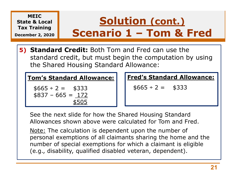

See the next slide for how the Shared Housing Standard Allowances shown above were calculated for Tom and Fred.

personal exemptions of all claimants sharing the home and the number of special exemptions for which a claimant is eligible (e.g., disability, qualified disabled veteran, dependent).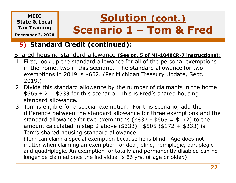#### MEIC State & Local

December 2, 2020

## Tax Training Scenario 1 - Tom & Fred Solution (cont.) Solution (cont.)<br>Scenario 1 – Tom & Fred<br>edit (continued):

#### 5) Standard Credit (continued):

Shared housing standard allowance (See pg. 5 of MI-1040CR-7 instructions):

- MEIC<br>
Tax Training<br>
December 2, 2020<br>
5) Standard Credit (continued):<br>
Shared housing standard allowance (See pg. 5 of MI-1040CR-7 instructions):<br>
1. First, look up the standard allowance for all of the personal exemptions in the home, two in this scenario. The standard allowance for two exemptions in 2019 is \$652. (Per Michigan Treasury Update, Sept. 2019.) MEIC<br>
2. Divide the Recember 2, 2020<br>
2. Divide thousing standard allowance (See pg. 5 of MI-1040CR-7 instructions):<br>
2. Divide this standard allowance for all of the personal exemptions<br>
2. Divide this standard allowance **SCENTIO 1 – TOM & Fred**<br> **5.** Standard Credit (continued):<br>
Shared housing standard allowance (see pg. 5 of MI-1040CR-7 instructions):<br>
1. First, look up the standard allowance for all of the personal exemptions<br>
in the
- $$665 \div 2 = $333$  for this scenario. This is Fred's shared housing standard allowance.
- difference between the standard allowance for three exemptions and the **Standard Credit (continued):**<br>
Standard allowance (see pg. 5 of MI-1040CR-7 instructions):<br>
First, look up the standard allowance for all of the personal exemptions<br>
in the home, two in this scenario. The standard allowa amount calculated in step 2 above (\$333). \$505 (\$172 + \$333) is Tom's shared housing standard allowance.

(Tom can claim a special exemption because he is blind. Age does not matter when claiming an exemption for deaf, blind, hemiplegic, paraplegic and quadriplegic. An exemption for totally and permanently disabled can no longer be claimed once the individual is 66 yrs. of age or older.)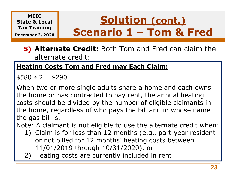#### **MFTC** State & Local

December 2, 2020

## $Tax$  Training  $\left\| \right.$  Scenario 1 – Tom & Fred Solution (cont.) **Solution (cont.)<br>Scenario 1 – Tom & Fred<br>Credit:** Both Tom and Fred can claim the

#### 5) Alternate Credit: Both Tom and Fred can claim the alternate credit:

#### **Heating Costs Tom and Fred may Each Claim:**

 $$580 \div 2 = $290$ 

When two or more single adults share a home and each owns the home or has contracted to pay rent, the annual heating costs should be divided by the number of eligible claimants in the home, regardless of who pays the bill and in whose name the gas bill is. alternate credit:<br> **ating Costs Tom and Fred may Each Claim:**<br>  $80 \div 2 = \frac{4290}{20}$ <br>
nen two or more single adults share a home and each owns<br>
a home or has contracted to pay rent, the annual heating<br>
sts should be divide  $80 \div 2 = \frac{6290}{20}$ <br>
head two or more single adults share a home and<br>
the annusts should be divided by the number of eligible<br>
the home, regardless of who pays the bill and in<br>
the gas bill is.<br>
te: A claimant is not eli

Note: A claimant is not eligible to use the alternate credit when:

- or not billed for 12 months' heating costs between 11/01/2019 through 10/31/2020), or
-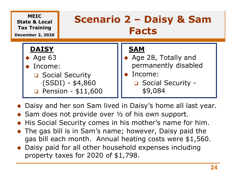

- ◆ Daisy and her son Sam lived in Daisy's home all last year.
- $\triangle$  Sam does not provide over  $\frac{1}{2}$  of his own support.
- ◆ His Social Security comes in his mother's name for him.
- The gas bill is in Sam's name; however, Daisy paid the gas bill each month. Annual heating costs were \$1,560.
- ◆ Daisy paid for all other household expenses including property taxes for 2020 of \$1,798.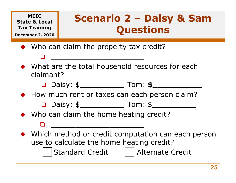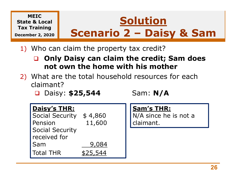

- 1) Who can claim the property tax credit?
	- Only Daisy can claim the credit; Sam does not own the home with his mother
- 2) What are the total household resources for each claimant?
	- □ Daisy: **\$25,544** Sam: N/A

| claimant?<br><b>D</b> Daisy: $$25,544$                                                                    |                            | not own the nome with his mother<br>What are the total household resources for each<br>Sam: $N/A$ |  |
|-----------------------------------------------------------------------------------------------------------|----------------------------|---------------------------------------------------------------------------------------------------|--|
| <b>Daisy's THR:</b><br><b>Social Security</b><br>Pension<br><b>Social Security</b><br>received for<br>Sam | \$4,860<br>11,600<br>9,084 | <b>Sam's THR:</b><br>N/A since he is not a<br>claimant.                                           |  |
| <b>Total THR</b>                                                                                          | \$25,544                   |                                                                                                   |  |
|                                                                                                           |                            |                                                                                                   |  |

#### Sam's THR: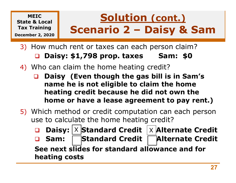### Tax Training Scenario 2 - Daisy & Sam Extracted the **Solution (cont.)**<br> **Scenario 2 – Daisy & Sam**<br>
How much rent or taxes can each person claim?<br> **Q Daisy: \$1,798 prop. taxes Sam: \$0**<br>
Who can claim the home heating credit?<br> **Design:**  $(5, 9, 1)$  is the solut Solution (cont.) **Solution (cont.)**<br> **Scenario 2 – Daisy & Sam**<br>
Frent or taxes can each person claim?

- 3) How much rent or taxes can each person claim?
- 4) Who can claim the home heating credit?

MEIC State & Local

December 2, 2020

- □ Daisy (Even though the gas bill is in Sam's name he is not eligible to claim the home heating credit because he did not own the home or have a lease agreement to pay rent.)
- 5) Which method or credit computation can each person use to calculate the home heating credit?
	- **Q** Daisy:  $|X|$ Standard Credit  $|X|$ Alternate Credit Sam: Standard Credit Alternate Credit See next slides for standard allowance and for heating costs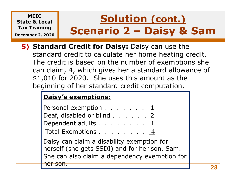### MEIC State & Local Tax Training Scenario 2 - Daisy & Sam December 2, 2020 Solution (cont.) **Solution (cont.)**<br> **Scenario 2 – Daisy & Sam**<br>
Credit for Daisy: Daisy can use the

5) Standard Credit for Daisy: Daisy can use the standard credit to calculate her home heating credit. The credit is based on the number of exemptions she can claim, 4, which gives her a standard allowance of \$1,010 for 2020. She uses this amount as the beginning of her standard credit computation. **SCENDATIO Z – DAISY & SAMMONG AND SCENDATIO 2 – DAISY & SAMMONG AND SERVIS AND SERVIS AND SERVIS AND SERVIS AND SERVIS AND SERVIS AND SERVIS AND SERVIS AND SERVIS AND SERVIS AND SERVIS AND SERVIS AND SERVIS AND SERVIS AN Indard Credit for Daisy:** Daisy can use the<br>
ndard credit to calculate her home heating credit.<br>
Exercit is based on the number of exemptions she<br>
i claim, 4, which gives her a standard allowance of<br>
010 for 2020. She use

#### Daisy's exemptions:

| Personal exemption 1<br>Deaf, disabled or blind 2                                                                                            |  |
|----------------------------------------------------------------------------------------------------------------------------------------------|--|
| Dependent adults 1<br>Total Exemptions $\dots$ $\dots$ $\dots$ $\underline{4}$                                                               |  |
| Daisy can claim a disability exemption for<br>herself (she gets SSDI) and for her son, Sam.<br>She can also claim a dependency exemption for |  |
|                                                                                                                                              |  |